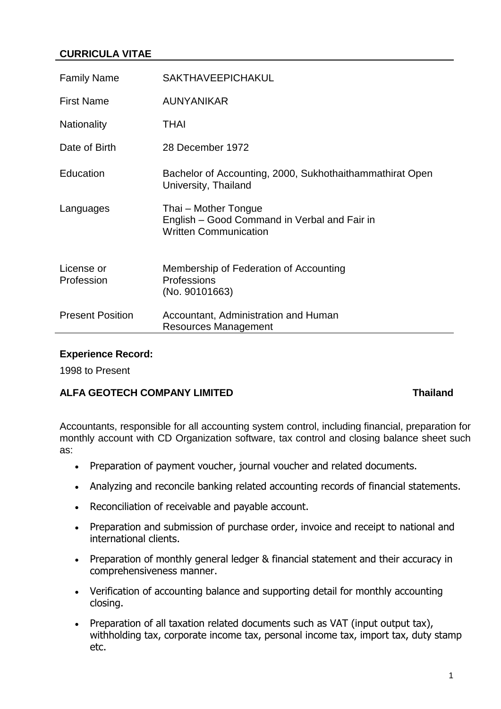# **CURRICULA VITAE**

| <b>Family Name</b>       | <b>SAKTHAVEEPICHAKUL</b>                                                                             |
|--------------------------|------------------------------------------------------------------------------------------------------|
| <b>First Name</b>        | <b>AUNYANIKAR</b>                                                                                    |
| <b>Nationality</b>       | <b>THAI</b>                                                                                          |
| Date of Birth            | 28 December 1972                                                                                     |
| Education                | Bachelor of Accounting, 2000, Sukhothaithammathirat Open<br>University, Thailand                     |
| Languages                | Thai – Mother Tongue<br>English - Good Command in Verbal and Fair in<br><b>Written Communication</b> |
| License or<br>Profession | Membership of Federation of Accounting<br>Professions<br>(No. 90101663)                              |
| <b>Present Position</b>  | Accountant, Administration and Human<br><b>Resources Management</b>                                  |

### **Experience Record:**

1998 to Present

## **ALFA GEOTECH COMPANY LIMITED Thailand**

Accountants, responsible for all accounting system control, including financial, preparation for monthly account with CD Organization software, tax control and closing balance sheet such as:

- Preparation of payment voucher, journal voucher and related documents.
- Analyzing and reconcile banking related accounting records of financial statements.
- Reconciliation of receivable and payable account.
- Preparation and submission of purchase order, invoice and receipt to national and international clients.
- Preparation of monthly general ledger & financial statement and their accuracy in comprehensiveness manner.
- Verification of accounting balance and supporting detail for monthly accounting closing.
- Preparation of all taxation related documents such as VAT (input output tax), withholding tax, corporate income tax, personal income tax, import tax, duty stamp etc.